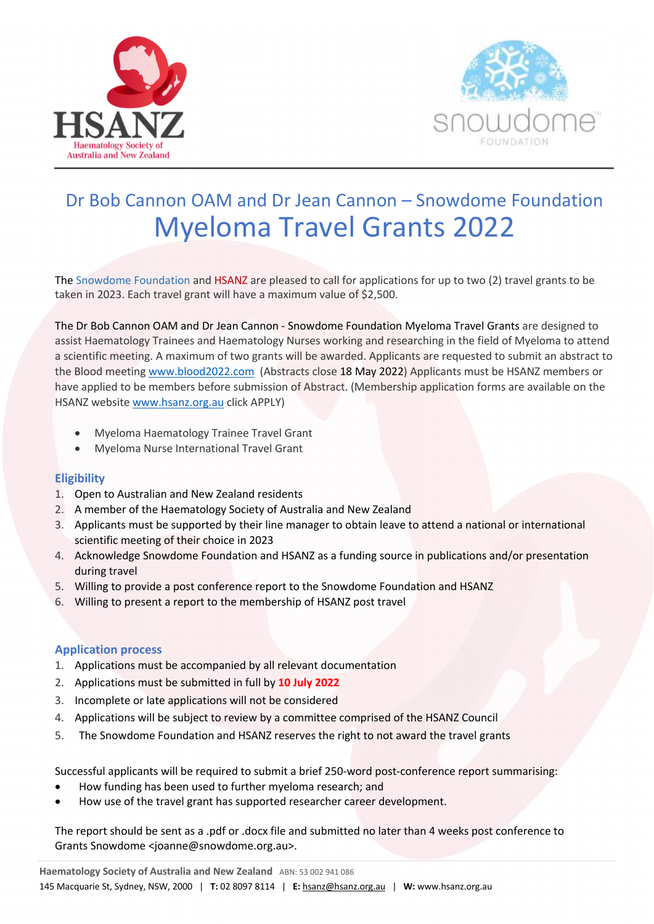



# Dr Bob Cannon OAM and Dr Jean Cannon – Snowdome Foundation Myeloma Travel Grants 2022

The Snowdome Foundation and HSANZ are pleased to call for applications for up to two (2) travel grants to be taken in 2023. Each travel grant will have a maximum value of \$2,500.

The Dr Bob Cannon OAM and Dr Jean Cannon - Snowdome Foundation Myeloma Travel Grants are designed to assist Haematology Trainees and Haematology Nurses working and researching in the field of Myeloma to attend a scientific meeting. A maximum of two grants will be awarded. Applicants are requested to submit an abstract to the Blood meeting www.blood2022.com (Abstracts close 18 May 2022) Applicants must be HSANZ members or have applied to be members before submission of Abstract. (Membership application forms are available on the HSANZ website www.hsanz.org.au click APPLY)

- Myeloma Haematology Trainee Travel Grant
- Myeloma Nurse International Travel Grant

#### **Eligibility**

- 1. Open to Australian and New Zealand residents
- 2. A member of the Haematology Society of Australia and New Zealand
- 3. Applicants must be supported by their line manager to obtain leave to attend a national or international scientific meeting of their choice in 2023
- 4. Acknowledge Snowdome Foundation and HSANZ as a funding source in publications and/or presentation during travel
- 5. Willing to provide a post conference report to the Snowdome Foundation and HSANZ
- 6. Willing to present a report to the membership of HSANZ post travel

#### **Application process**

- 1. Applications must be accompanied by all relevant documentation
- 2. Applications must be submitted in full by **10 July 2022**
- 3. Incomplete or late applications will not be considered
- 4. Applications will be subject to review by a committee comprised of the HSANZ Council
- 5. The Snowdome Foundation and HSANZ reserves the right to not award the travel grants

Successful applicants will be required to submit a brief 250-word post-conference report summarising:

- How funding has been used to further myeloma research; and
- How use of the travel grant has supported researcher career development.

The report should be sent as a .pdf or .docx file and submitted no later than 4 weeks post conference to Grants Snowdome <joanne@snowdome.org.au>.